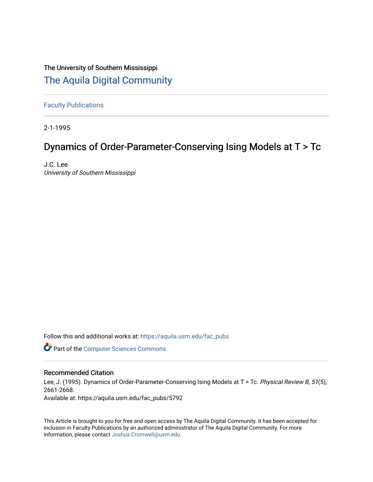## The University of Southern Mississippi [The Aquila Digital Community](https://aquila.usm.edu/)

[Faculty Publications](https://aquila.usm.edu/fac_pubs)

2-1-1995

# Dynamics of Order-Parameter-Conserving Ising Models at T > Tc

J.C. Lee University of Southern Mississippi

Follow this and additional works at: [https://aquila.usm.edu/fac\\_pubs](https://aquila.usm.edu/fac_pubs?utm_source=aquila.usm.edu%2Ffac_pubs%2F5792&utm_medium=PDF&utm_campaign=PDFCoverPages) 

**Part of the [Computer Sciences Commons](http://network.bepress.com/hgg/discipline/142?utm_source=aquila.usm.edu%2Ffac_pubs%2F5792&utm_medium=PDF&utm_campaign=PDFCoverPages)** 

## Recommended Citation

Lee, J. (1995). Dynamics of Order-Parameter-Conserving Ising Models at T > Tc. Physical Review B, 51(5), 2661-2668.

Available at: https://aquila.usm.edu/fac\_pubs/5792

This Article is brought to you for free and open access by The Aquila Digital Community. It has been accepted for inclusion in Faculty Publications by an authorized administrator of The Aquila Digital Community. For more information, please contact [Joshua.Cromwell@usm.edu.](mailto:Joshua.Cromwell@usm.edu)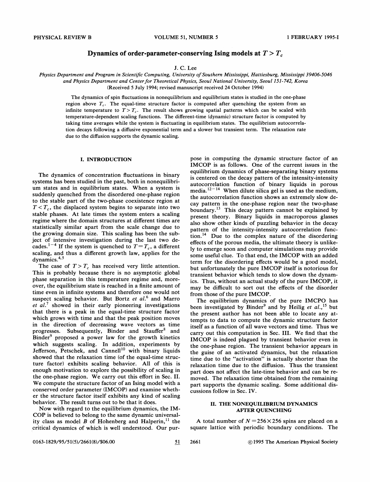## Dynamics of order-parameter-conserving Ising models at  $T > T_c$

### J. C. Lee

Physics Department and Program in Scientific Computing, University of Southern Mississippi, Hattiesburg, Mississippi 39406-5046 and Physics Department and Center for Theoretical Physics, Seoul National University, Seoul 151-742, Korea (Received 5 July 1994; revised manuscript received 24 October 1994)

The dynamics of spin fluctuations in nonequilibrium and equilibrium states is studied in the one-phase region above  $T_c$ . The equal-time structure factor is computed after quenching the system from an infinite temperature to  $T>T_c$ . The result shows growing spatial patterns which can be scaled with temperature-dependent scaling functions. The different-time (dynamic) structure factor is computed by taking time averages while the system is fluctuating in equilibrium states. The equilibrium autocorrelation decays following a diffusive exponential term and a slower but transient term. The relaxation rate due to the diffusion supports the dynamic scaling.

#### I. INTRODUCTION

The dynamics of concentration fluctuations in binary systems has been studied in the past, both in nonequilibrium states and in equilibrium states. When a system is suddenly quenched from the disordered one-phase region to the stable part of the two-phase coexistence region at  $T < T_c$ , the displaced system begins to separate into two stable phases. At late times the system enters a scaling regime where the domain structures at different times are statistically similar apart from the scale change due to the growing domain size. This scaling has been the subject of intensive investigation during the last two decades.<sup>1-4</sup> If the system is quenched to  $T=T_c$ , a different scaling, and thus a different growth law, applies for the  $d$ ynamics.<sup>4,5</sup>

The case of  $T > T_c$  has received very little attention. This is probably because there is no asymptotic global phase separation in this temperature regime and, moreover, the equilibrium state is reached in a finite amount of time even in infinite systems and therefore one would not suspect scaling behavior. But Bortz et  $al$ .<sup>6</sup> and Marro et  $al$ .<sup>7</sup> showed in their early pioneering investigations that there is a peak in the equal-time structure factor which grows with time and that the peak position moves in the direction of decreasing wave vectors as time progresses. Subsequently, Binder and Stauffer<sup>8</sup> and Binder $9$  proposed a power law for the growth kinetics which suggests scaling. In addition, experiments by Jefferson, Petschek, and Cannell<sup>10</sup> with binary liquids showed that the relaxation time (of the equal-time structure factor) exhibits scaling behavior. All of this is enough motivation to explore the possibility of scaling in the one-phase region. We carry out this effort in Sec. II. We compute the structure factor of an Ising model with a conserved order parameter (IMCOP) and examine whether the structure factor itself exhibits any kind of scaling behavior. The result turns out to be that it does.

Now with regard to the equilibrium dynamics, the IM-COP is believed to belong to the same dynamic universal-COP is believed to belong to the same dynamic universal-<br>ity class as model  $B$  of Hohenberg and Halperin,<sup>11</sup> the critical dynamics of which is well understood. Our purpose in computing the dynamic structure factor of an IMCOP is as follows. One of the current issues in the equilibrium dynamics of phase-separating binary systems is centered on the decay pattern of the intensity-intensity autocorrelation function of binary liquids in porous media.  $12-14$  When dilute silica gel is used as the medium, the autocorrelation function shows an extremely slow decay pattern in the one-phase region near the two-phase boundary.<sup>13</sup> This decay pattern cannot be explained by present theory. Binary liquids in macroporous glasses also show other kinds of puzzling behavior in the decay pattern of the intensity-intensity autocorrelation func- $\mu$ <sub>14</sub> Due to the complex nature of the disordering effects of the porous media, the ultimate theory is unlikely to emerge soon and computer simulations may provide some useful clue. To that end, the IMCOP with an added term for the disordering effects would be a good model, but unfortunately the pure IMCOP itself is notorious for transient behavior which tends to slow down the dynamics. Thus, without an actual study of the pure IMCOP, it may be difficult to sort out the effects of the disorder from those of the pure IMCOP.

The equilibrium dynamics of the pure IMCPO has been investigated by Binder<sup>9</sup> and by Heilig et al.,<sup>15</sup> but the present author has not been able to locate any attempts to data to compute the dynamic structure factor itself as a function of all wave vectors and time. Thus we carry out this computation in Sec. III. We find that the IMCOP is indeed plagued by transient behavior even in the one-phase region. The transient behavior appears in the guise of an activated dynamics, but the relaxation time due to the "activation" is actually shorter than the relaxation time due to the diffusion. Thus the transient part does not affect the late-time behavior and can be removed. The relaxation time obtained from the remaining part supports the dynamic scaling. Some additional discussions follow in Sec. IV.

#### II. THE NONEQUILIBRIUM DYNAMICS **AFTER OUENCHING**

A total number of  $N = 256 \times 256$  spins are placed on a square lattice with periodic boundary conditions. The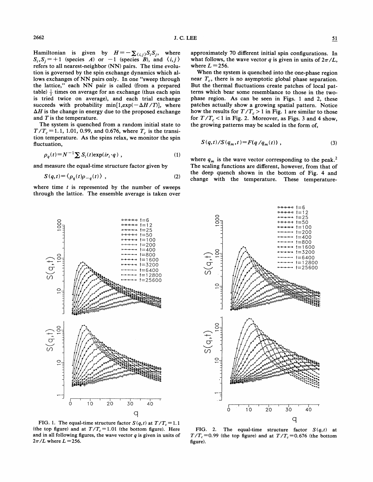$J. C. LEE$  51

where  $L = 256$ .

Hamiltonian is given by  $H = -\sum_{(i,j)} S_i S_j$ , where  $S_i$ ,  $S_j$  = +1 (species *A*) or -1 (species *B*), and  $\langle i, j \rangle$ refers to all nearest-neighbor (NN) pairs. The time evolution is governed by the spin exchange dynamics which allows exchanges of NN pairs only. In one "sweep through the lattice," each NN pair is called (from a prepared table)  $\frac{1}{2}$  times on average for an exchange (thus each spin is tried twice on average), and each trial exchange succeeds with probability min $[1, \exp(-\Delta H / T)]$ , where  $\Delta H$  is the change in energy due to the proposed exchange and  $T$  is the temperature.

The system is quenched from a random initial state to  $T/T_c = 1.1, 1.01, 0.99,$  and 0.676, where  $T_c$  is the transition temperature. As the spins relax, we monitor the spin fluctuation,

$$
\rho_q(t) = N^{-1} \sum S_i(t) \exp(i r_i \cdot q) , \qquad (1)
$$

and measure the equal-time structure factor given by

$$
S(q,t) = \langle \rho_q(t)\rho_{-q}(t) \rangle , \qquad (2)
$$

where time  $t$  is represented by the number of sweeps through the lattice. The ensemble average is taken over

When the system is quenched into the one-phase region near  $T_c$ , there is no asymptotic global phase separation. But the thermal fluctuations create patches of local patterns which bear some resemblance to those in the twophase region. As can be seen in Figs. <sup>1</sup> and 2, these patches actually show a growing spatial pattern. Notice how the results for  $T/T_c > 1$  in Fig. 1 are similar to those for  $T/T_c < 1$  in Fig. 2. Moreover, as Figs. 3 and 4 show, the growing patterns may be scaled in the form of,

$$
S(q,t)/S(q_m,t) = F(q/q_m(t)), \qquad (3)
$$

where  $q_m$  is the wave vector corresponding to the peak.<sup>2</sup> The scaling functions are different, however, from that of the deep quench shown in the bottom of Fig. 4 and change with the temperature. These temperature-





FIG. 1. The equal-time structure factor  $S(q, t)$  at  $T/T_c = 1.1$ (the top figure) and at  $T/T_c = 1.01$  (the bottom figure). Here and in all following figures, the wave vector  $q$  is given in units of  $2\pi/L$  where  $L = 256$ .

FIG. 2. The equal-time structure factor  $S(q, t)$  at  $T/T_c = 0.99$  (the top figure) and at  $T/T_c = 0.676$  (the bottom figure).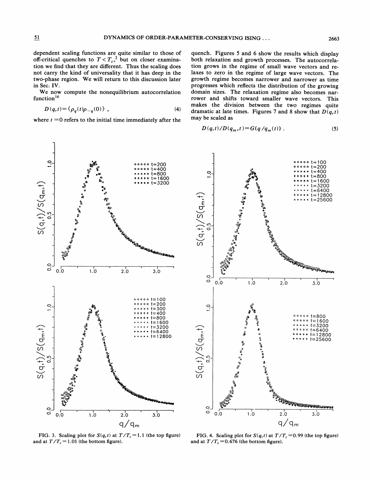dependent scaling functions are quite similar to those of off-critical quenches to  $T < T_c$ ,<sup>2</sup> but on closer examination we find that they are different. Thus the scaling does not carry the kind of universality that it has deep in the two-phase region. We will return to this discussion later in Sec. IV.

We now compute the nonequilibrium autocorrelation function<sup>16</sup>

$$
D(q,t) = \langle \rho_q(t) \rho_{-q}(0) \rangle \tag{4}
$$

where  $t = 0$  refers to the initial time immediately after the

quench. Figures 5 and 6 show the results which display both relaxation and growth processes. The autocorrelation grows in the regime of small wave vectors and relaxes to zero in the regime of large wave vectors. The growth regime becomes narrower and narrower as time progresses which reflects the distribution of the growing domain sizes. The relaxation regime also becomes narrower and shifts toward smaller wave vectors. This makes the division between the two regimes quite dramatic at late times. Figures 7 and 8 show that  $D(q, t)$ may be scaled as

$$
D(q,t)/D(q_m,t) = G(q/q_m(t)) \tag{5}
$$



FIG. 3. Scaling plot for  $S(q,t)$  at  $T/T_c = 1.1$  (the top figure) and at  $T/T_c = 1.01$  (the bottom figure).



FIG. 4. Scaling plot for  $S(q,t)$  at  $T/T_c = 0.99$  (the top figure) and at  $T/T_c = 0.676$  (the bottom figure).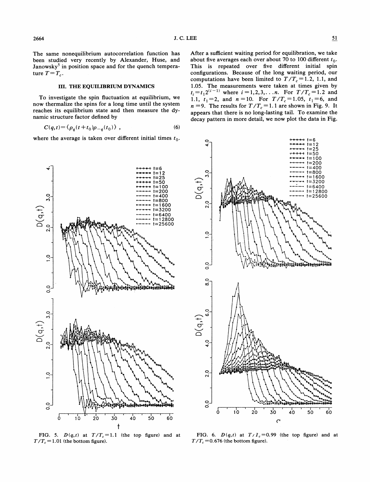The same nonequilibrium autocorrelation function has been studied very recently by Alexander, Huse, and Janowsky<sup>5</sup> in position space and for the quench temperature  $T = T_c$ .

#### **III. THE EQUILIBRIUM DYNAMICS**

To investigate the spin fluctuation at equilibrium, we now thermalize the spins for a long time until the system reaches its equilibrium state and then measure the dynamic structure factor defined by

$$
C(q,t) = \langle \rho_a(t+t_0)\rho_{-a}(t_0) \rangle \tag{6}
$$

where the average is taken over different initial times  $t_0$ .



FIG. 5.  $D(q,t)$  at  $T/T_c = 1.1$  (the top figure) and at  $T/T_c = 1.01$  (the bottom figure).

about five averages each over about 70 to 100 different  $t_0$ . This is repeated over five different initial spin configurations. Because of the long waiting period, our computations have been limited to  $T/T_c = 1.2$ , 1.1, and 1.05. The measurements were taken at times given by  $t_i = t_1 2^{(i-1)}$  where  $i = 1, 2, 3, \ldots n$ . For  $T/T_c = 1.2$  and 1.1,  $t_1 = 2$ , and  $n = 10$ . For  $T/T_c = 1.05$ ,  $t_1 = 6$ , and  $n = 9$ . The results for  $T/T_c = 1.1$  are shown in Fig. 9. It appears that there is no long-lasting tail. To examine the decay pattern in more detail, we now plot the data in Fig.



FIG. 6.  $D(q,t)$  at  $T/I_c = 0.99$  (the top figure) and at  $T/T_c$  = 0.676 (the bottom figure).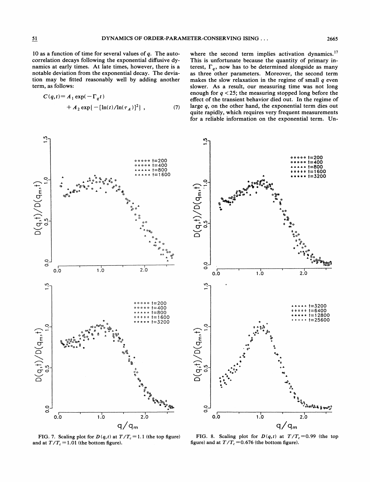correlation decays following the exponential diffusive dynamics at early times. At late times, however, there is a notable deviation from the exponential decay. The deviation may be fitted reasonably well by adding another term, as follows:

$$
C(q,t) = A_1 \exp(-\Gamma_q t) + A_2 \exp\{-[\ln(t)/\ln(\tau_A)]^2\},
$$
 (7)

where the second term implies activation dynamics.<sup>17</sup> This is unfortunate because the quantity of primary interest,  $\Gamma_a$ , now has to be determined alongside as many as three other parameters. Moreover, the second term makes the slow relaxation in the regime of small  $q$  even slower. As a result, our measuring time was not long enough for  $q < 25$ ; the measuring stopped long before the effect of the transient behavior died out. In the regime of large  $q$ , on the other hand, the exponential term dies out quite rapidly, which requires very frequent measurements for a reliable information on the exponential term. Un-



FIG. 7. Scaling plot for  $D(q, t)$  at  $T/T_c = 1.1$  (the top figure) and at  $T/T_c = 1.01$  (the bottom figure).



FIG. 8. Scaling plot for  $D(q,t)$  at  $T/T_c = 0.99$  (the top figure) and at  $T/T_c = 0.676$  (the bottom figure).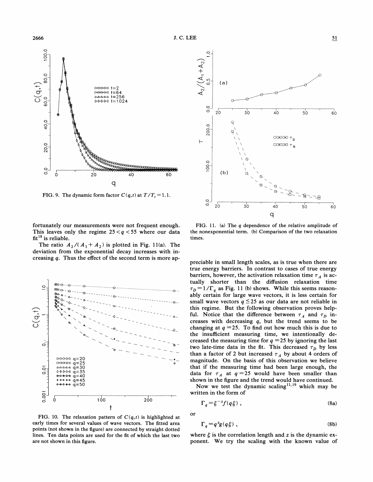

FIG. 9. The dynamic form factor  $C(q, t)$  at  $T/T_c = 1.1$ .

fortunately our measurements were not frequent enough. This leaves only the regime  $25 < q < 55$  where our data fit<sup>18</sup> is reliable.

The ratio  $A_2/(A_1 + A_2)$  is plotted in Fig. 11(a). The deviation from the exponential decay increases with increasing q. Thus the effect of the second term is more ap-



FIG. 10. The relaxation pattern of  $C(q, t)$  is highlighted at early times for several values of wave vectors. The fitted area points (not shown in the figure) are connected by straight dotted lines. Ten data points are used for the fit of which the last two are not shown in this figure.



FIG. 11. (a) The <sup>q</sup> dependence of the relative amplitude of the nonexponential term. (b) Comparison of the two relaxation times.

preciable in small length scales, as is true when there are true energy barriers. In contrast to cases of true energy barriers, however, the activation relaxation time  $\tau_A$  is actually shorter than the diffusion relaxation time relation that the diffusion relation time<br> $r_D = 1/\Gamma_q$  as Fig. 11 (b) shows. While this seems reasonably certain for large wave vectors, it is less certain for small wave vectors  $q \le 25$  as our data are not reliable in this regime. But the following observation proves helpful. Notice that the difference between  $\tau_A$  and  $\tau_D$  increases with decreasing  $q$ , but the trend seems to be changing at  $q = 25$ . To find out how much this is due to the insufficient measuring time, we intentionally decreased the measuring time for  $q = 25$  by ignoring the last two late-time data in the fit. This decreased  $\tau_D$  by less than a factor of 2 but increased  $\tau_A$  by about 4 orders of magnitude. On the basis of this observation we believe that if the measuring time had been large enough, the data for  $\tau_A$  at  $q=25$  would have been smaller than shown in the figure and the trend would have continued.

Now we test the dynamic scaling<sup>11,19</sup> which may be written in the form of

$$
\Gamma_q = \xi^{-z} f(q\xi) \tag{8a}
$$

or

$$
\Gamma_q = q^z g(q\xi) \tag{8b}
$$

where  $\xi$  is the correlation length and z is the dynamic exponent. We try the scaling with the known value of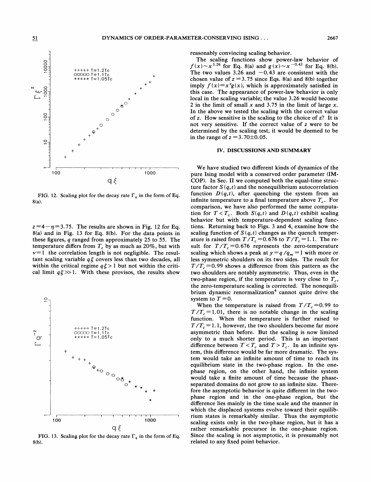

FIG. 12. Scaling plot for the decay rate  $\Gamma_q$  in the form of Eq. 8(a).

 $z = 4 - \eta = 3.75$ . The results are shown in Fig. 12 for Eq. 8(a) and in Fig. 13 for Eq. 8(b). For the data points in these figures, q ranged from approximately 25 to 55. The temperature differs from  $T_c$  by as much as 20%, but with  $v=1$  the correlation length is not negligible. The resultant scaling variable  $q\xi$  covers less than two decades, all within the critical regime  $q\xi > 1$  but not within the critical limit  $q\xi \gg 1$ . With these provisos, the results show



FIG. 13. Scaling plot for the decay rate  $\Gamma_q$  in the form of Eq. 8(b).

reasonably convincing scaling behavior.

The scaling functions show power-law behavior of  $f(x) \sim x^{3.26}$  for Eq. 8(a) and  $g(x) \sim x^{-0.43}$  for Eq. 8(b). The two values 3.26 and  $-0.43$  are consistent with the chosen value of  $z = 3.75$  since Eqs. 8(a) and 8(b) together imply  $f(x)=x^2g(x)$ , which is approximately satisfied in this case. The appearance of power-law behavior is only local in the scaling variable; the value 3.26 would become 2 in the limit of small x and 3.75 in the limit of large x. In the above we tested the scaling with the correct value of z. How sensitive is the scaling to the choice of z? It is not very sensitive. If the correct value of z were to be determined by the scaling test, it would be deemed to be in the range of  $z = 3.70 \pm 0.05$ .

#### IV. DISCUSSIONS AND SUMMARY

We have studied two different kinds of dynamics of the pure Ising model with a conserved order parameter (IM-COP). In Sec. II we computed both the equal-time structure factor  $S(q, t)$  and the nonequilibrium autocorrelation function  $D(q, t)$ , after quenching the system from an infinite temperature to a final temperature above  $T_c$ . For comparison, we have also performed the same computation for  $T < T_c$ . Both  $S(q, t)$  and  $D(q, t)$  exhibit scaling behavior but with temperature-dependent scaling functions. Returning back to Figs. 3 and 4, examine how the scaling function of  $S(q, t)$  changes as the quench temperature is raised from  $T/T_c = 0.676$  to  $T/T_c = 1.1$ . The result for  $T/T_c = 0.676$  represents the zero-temperature scaling which shows a peak at  $y = q/q_m = 1$  with more or less symmetric shoulders on its two sides. The result for  $T/T_c = 0.99$  shows a difference from this pattern as the two shoulders are notably asymmetric. Thus, even in the two-phase region, if the temperature is very close to  $T_c$ , the zero-temperature scaling is corrected. The nonequilibrium dynamic renormalization<sup>4</sup> cannot quite drive the system to  $T = 0$ .

When the temperature is raised from  $T/T_c = 0.99$  to  $T/T_c = 1.01$ , there is no notable change in the scaling function. When the temperature is further raised to  $T/T_c = 1.1$ , however, the two shoulders become far more asymmetric than before. But the scaling is now limited only to a much shorter period. This is an important difference between  $T < T_c$  and  $T > T_c$ . In an infinite system, this difference would be far more dramatic. The system would take an infinite amount of time to reach its equilibrium state in the two-phase region. In the onephase region, on the other hand, the infinite system would take a finite amount of time because the phaseseparated domains do not grow to an infinite size. Therefore the asymptotic behavior is quite different in the twophase region and in the one-phase region, but the difference lies mainly in the time scale and the manner in which the displaced systems evolve toward their equilibrium states is remarkably similar. Thus the asymptotic scaling exists only in the two-phase region, but it has a rather remarkable precursor in the one-phase region. Since the scaling is not asymptotic, it is presumably not related to any fixed point behavior.